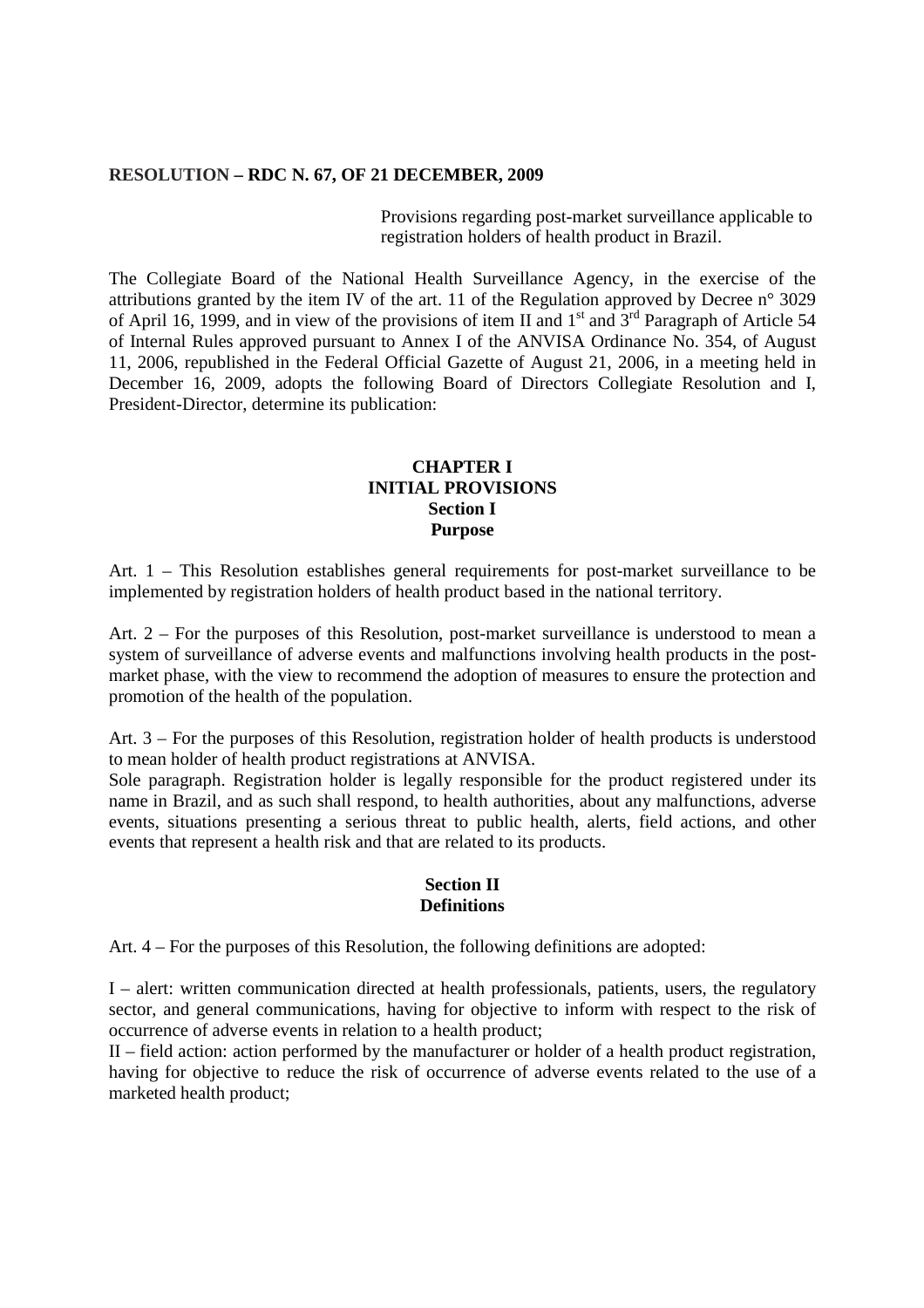#### **RESOLUTION – RDC N. 67, OF 21 DECEMBER, 2009**

Provisions regarding post-market surveillance applicable to registration holders of health product in Brazil.

The Collegiate Board of the National Health Surveillance Agency, in the exercise of the attributions granted by the item IV of the art. 11 of the Regulation approved by Decree n° 3029 of April 16, 1999, and in view of the provisions of item II and 1<sup>st</sup> and  $3^{rd}$  Paragraph of Article 54 of Internal Rules approved pursuant to Annex I of the ANVISA Ordinance No. 354, of August 11, 2006, republished in the Federal Official Gazette of August 21, 2006, in a meeting held in December 16, 2009, adopts the following Board of Directors Collegiate Resolution and I, President-Director, determine its publication:

### **CHAPTER I INITIAL PROVISIONS Section I Purpose**

Art. 1 – This Resolution establishes general requirements for post-market surveillance to be implemented by registration holders of health product based in the national territory.

Art. 2 – For the purposes of this Resolution, post-market surveillance is understood to mean a system of surveillance of adverse events and malfunctions involving health products in the postmarket phase, with the view to recommend the adoption of measures to ensure the protection and promotion of the health of the population.

Art. 3 – For the purposes of this Resolution, registration holder of health products is understood to mean holder of health product registrations at ANVISA.

Sole paragraph. Registration holder is legally responsible for the product registered under its name in Brazil, and as such shall respond, to health authorities, about any malfunctions, adverse events, situations presenting a serious threat to public health, alerts, field actions, and other events that represent a health risk and that are related to its products.

#### **Section II Definitions**

Art. 4 – For the purposes of this Resolution, the following definitions are adopted:

I – alert: written communication directed at health professionals, patients, users, the regulatory sector, and general communications, having for objective to inform with respect to the risk of occurrence of adverse events in relation to a health product;

II – field action: action performed by the manufacturer or holder of a health product registration, having for objective to reduce the risk of occurrence of adverse events related to the use of a marketed health product;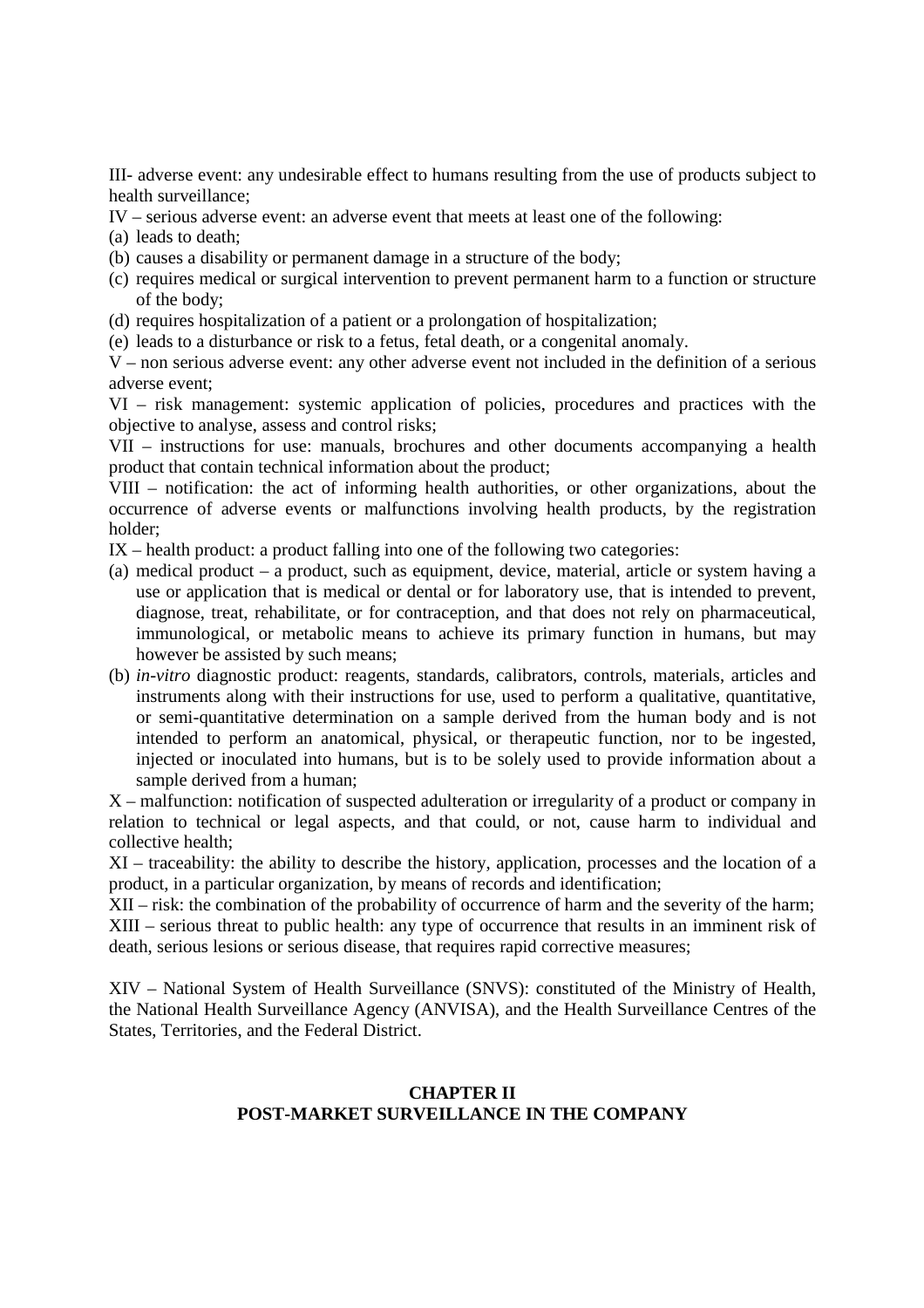III- adverse event: any undesirable effect to humans resulting from the use of products subject to health surveillance;

- IV serious adverse event: an adverse event that meets at least one of the following:
- (a) leads to death;
- (b) causes a disability or permanent damage in a structure of the body;
- (c) requires medical or surgical intervention to prevent permanent harm to a function or structure of the body;
- (d) requires hospitalization of a patient or a prolongation of hospitalization;
- (e) leads to a disturbance or risk to a fetus, fetal death, or a congenital anomaly.

V – non serious adverse event: any other adverse event not included in the definition of a serious adverse event;

VI – risk management: systemic application of policies, procedures and practices with the objective to analyse, assess and control risks;

VII – instructions for use: manuals, brochures and other documents accompanying a health product that contain technical information about the product;

VIII – notification: the act of informing health authorities, or other organizations, about the occurrence of adverse events or malfunctions involving health products, by the registration holder;

IX – health product: a product falling into one of the following two categories:

- (a) medical product a product, such as equipment, device, material, article or system having a use or application that is medical or dental or for laboratory use, that is intended to prevent, diagnose, treat, rehabilitate, or for contraception, and that does not rely on pharmaceutical, immunological, or metabolic means to achieve its primary function in humans, but may however be assisted by such means;
- (b) *in-vitro* diagnostic product: reagents, standards, calibrators, controls, materials, articles and instruments along with their instructions for use, used to perform a qualitative, quantitative, or semi-quantitative determination on a sample derived from the human body and is not intended to perform an anatomical, physical, or therapeutic function, nor to be ingested, injected or inoculated into humans, but is to be solely used to provide information about a sample derived from a human;

X – malfunction: notification of suspected adulteration or irregularity of a product or company in relation to technical or legal aspects, and that could, or not, cause harm to individual and collective health;

XI – traceability: the ability to describe the history, application, processes and the location of a product, in a particular organization, by means of records and identification;

XII – risk: the combination of the probability of occurrence of harm and the severity of the harm; XIII – serious threat to public health: any type of occurrence that results in an imminent risk of death, serious lesions or serious disease, that requires rapid corrective measures;

XIV – National System of Health Surveillance (SNVS): constituted of the Ministry of Health, the National Health Surveillance Agency (ANVISA), and the Health Surveillance Centres of the States, Territories, and the Federal District.

# **CHAPTER II POST-MARKET SURVEILLANCE IN THE COMPANY**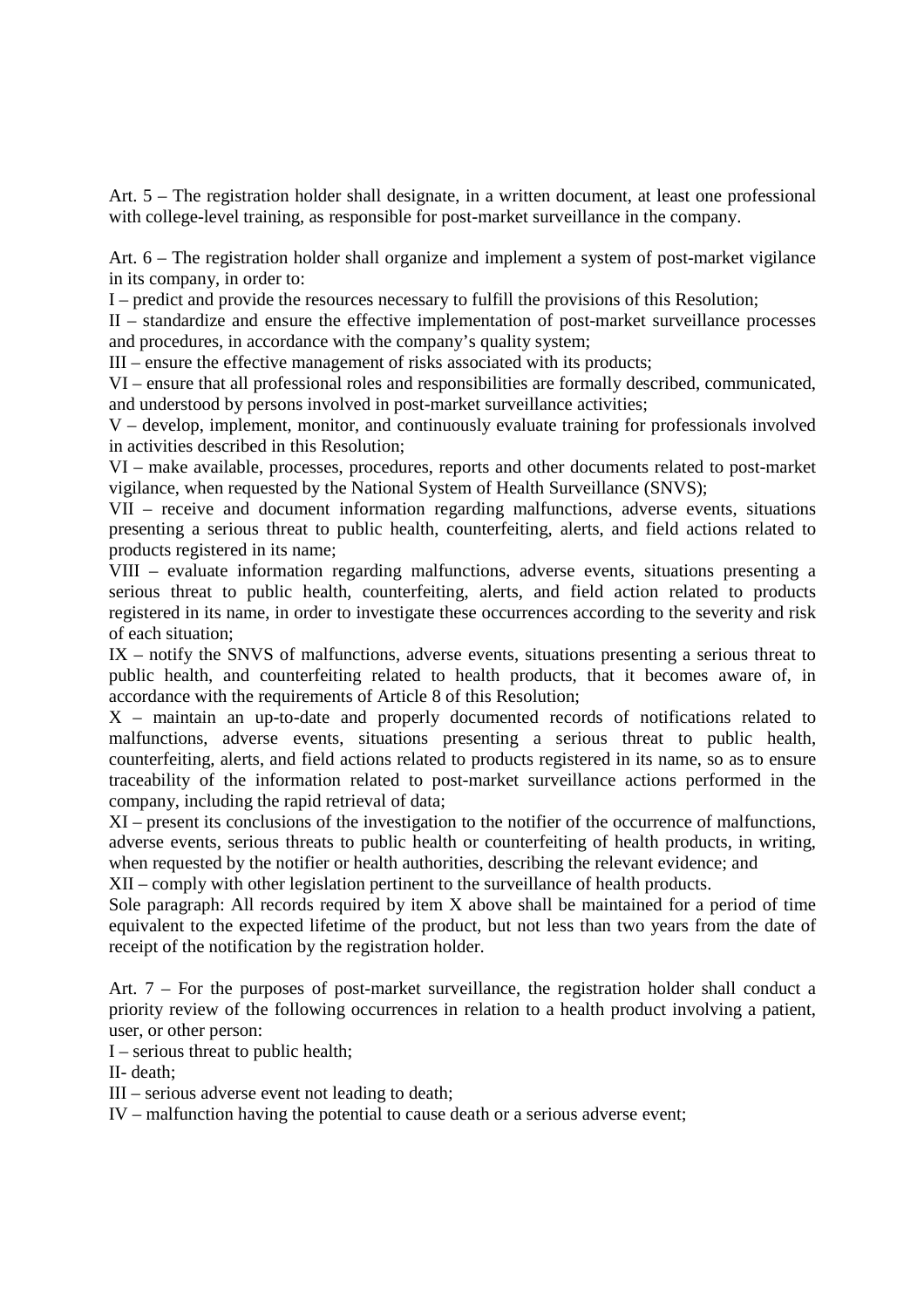Art. 5 – The registration holder shall designate, in a written document, at least one professional with college-level training, as responsible for post-market surveillance in the company.

Art. 6 – The registration holder shall organize and implement a system of post-market vigilance in its company, in order to:

I – predict and provide the resources necessary to fulfill the provisions of this Resolution;

II – standardize and ensure the effective implementation of post-market surveillance processes and procedures, in accordance with the company's quality system;

III – ensure the effective management of risks associated with its products;

VI – ensure that all professional roles and responsibilities are formally described, communicated, and understood by persons involved in post-market surveillance activities;

V – develop, implement, monitor, and continuously evaluate training for professionals involved in activities described in this Resolution;

VI – make available, processes, procedures, reports and other documents related to post-market vigilance, when requested by the National System of Health Surveillance (SNVS);

VII – receive and document information regarding malfunctions, adverse events, situations presenting a serious threat to public health, counterfeiting, alerts, and field actions related to products registered in its name;

VIII – evaluate information regarding malfunctions, adverse events, situations presenting a serious threat to public health, counterfeiting, alerts, and field action related to products registered in its name, in order to investigate these occurrences according to the severity and risk of each situation;

IX – notify the SNVS of malfunctions, adverse events, situations presenting a serious threat to public health, and counterfeiting related to health products, that it becomes aware of, in accordance with the requirements of Article 8 of this Resolution;

X – maintain an up-to-date and properly documented records of notifications related to malfunctions, adverse events, situations presenting a serious threat to public health, counterfeiting, alerts, and field actions related to products registered in its name, so as to ensure traceability of the information related to post-market surveillance actions performed in the company, including the rapid retrieval of data;

XI – present its conclusions of the investigation to the notifier of the occurrence of malfunctions, adverse events, serious threats to public health or counterfeiting of health products, in writing, when requested by the notifier or health authorities, describing the relevant evidence; and

XII – comply with other legislation pertinent to the surveillance of health products.

Sole paragraph: All records required by item X above shall be maintained for a period of time equivalent to the expected lifetime of the product, but not less than two years from the date of receipt of the notification by the registration holder.

Art. 7 – For the purposes of post-market surveillance, the registration holder shall conduct a priority review of the following occurrences in relation to a health product involving a patient, user, or other person:

I – serious threat to public health;

II- death;

III – serious adverse event not leading to death;

IV – malfunction having the potential to cause death or a serious adverse event;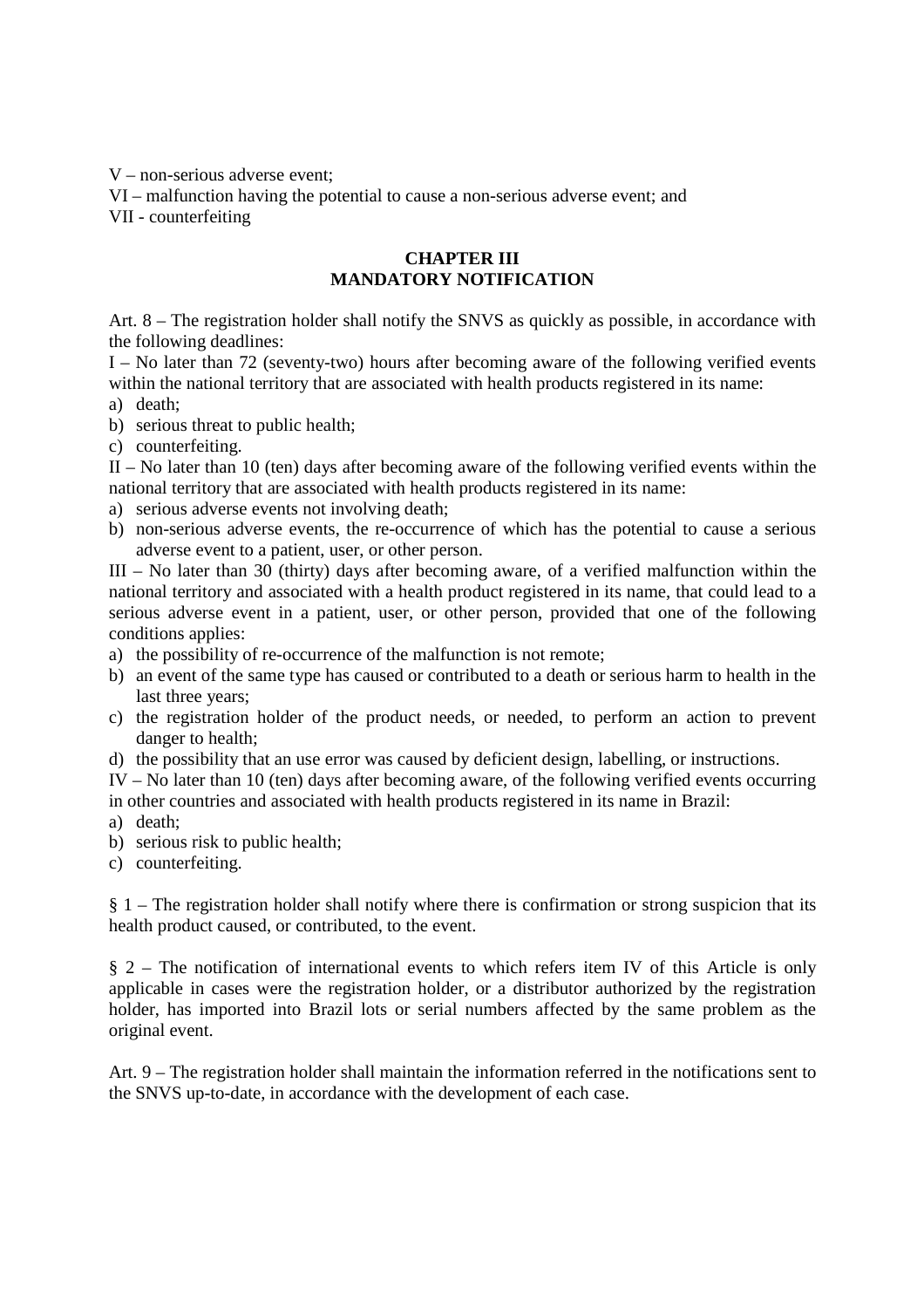V – non-serious adverse event;

VI – malfunction having the potential to cause a non-serious adverse event; and VII - counterfeiting

### **CHAPTER III MANDATORY NOTIFICATION**

Art. 8 – The registration holder shall notify the SNVS as quickly as possible, in accordance with the following deadlines:

I – No later than 72 (seventy-two) hours after becoming aware of the following verified events within the national territory that are associated with health products registered in its name:

- a) death;
- b) serious threat to public health;
- c) counterfeiting.

II – No later than 10 (ten) days after becoming aware of the following verified events within the national territory that are associated with health products registered in its name:

- a) serious adverse events not involving death;
- b) non-serious adverse events, the re-occurrence of which has the potential to cause a serious adverse event to a patient, user, or other person.

III – No later than 30 (thirty) days after becoming aware, of a verified malfunction within the national territory and associated with a health product registered in its name, that could lead to a serious adverse event in a patient, user, or other person, provided that one of the following conditions applies:

- a) the possibility of re-occurrence of the malfunction is not remote;
- b) an event of the same type has caused or contributed to a death or serious harm to health in the last three years;
- c) the registration holder of the product needs, or needed, to perform an action to prevent danger to health;
- d) the possibility that an use error was caused by deficient design, labelling, or instructions.

IV – No later than 10 (ten) days after becoming aware, of the following verified events occurring in other countries and associated with health products registered in its name in Brazil:

- a) death;
- b) serious risk to public health;
- c) counterfeiting.

§ 1 – The registration holder shall notify where there is confirmation or strong suspicion that its health product caused, or contributed, to the event.

§ 2 – The notification of international events to which refers item IV of this Article is only applicable in cases were the registration holder, or a distributor authorized by the registration holder, has imported into Brazil lots or serial numbers affected by the same problem as the original event.

Art. 9 – The registration holder shall maintain the information referred in the notifications sent to the SNVS up-to-date, in accordance with the development of each case.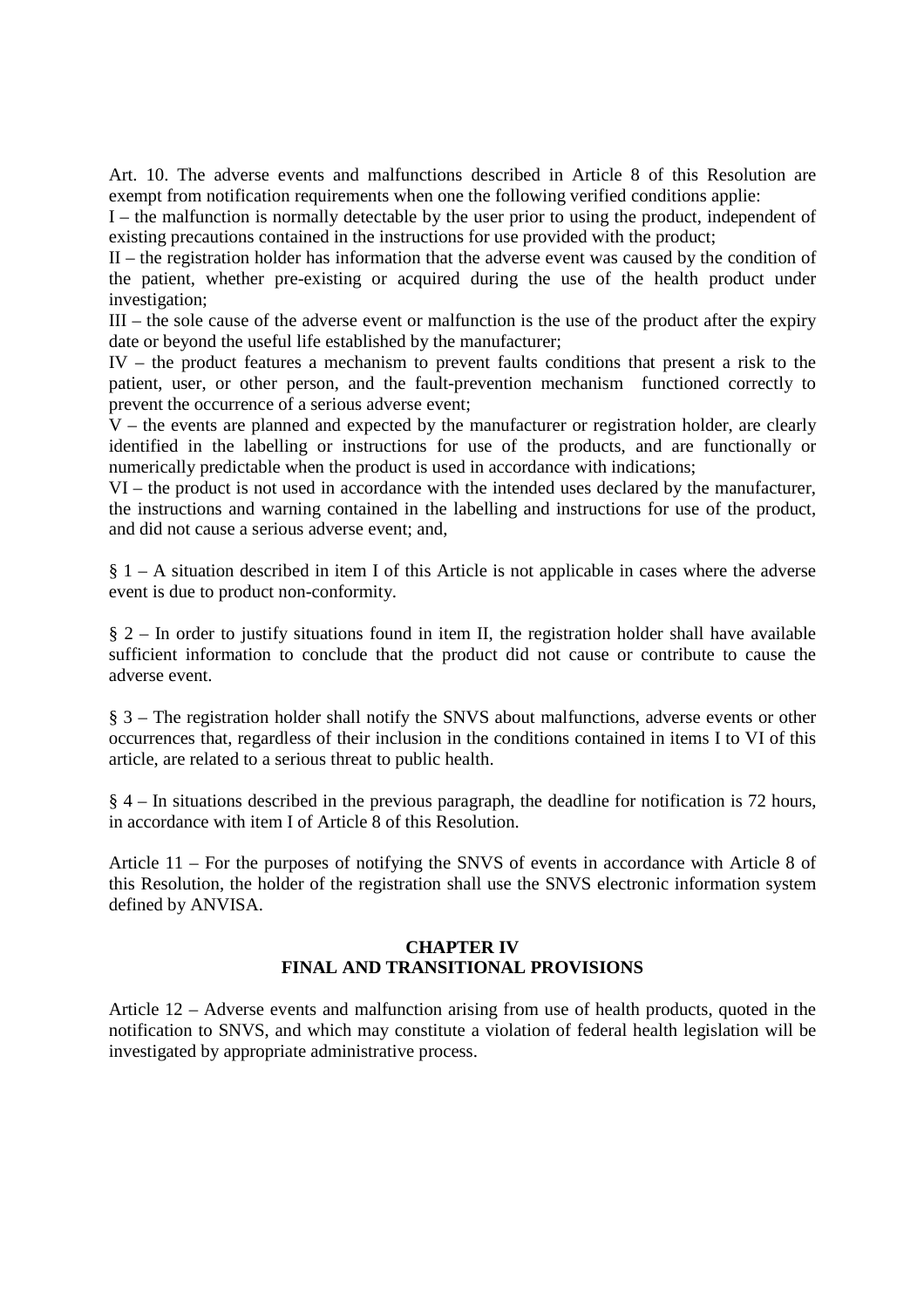Art. 10. The adverse events and malfunctions described in Article 8 of this Resolution are exempt from notification requirements when one the following verified conditions applie:

I – the malfunction is normally detectable by the user prior to using the product, independent of existing precautions contained in the instructions for use provided with the product;

II – the registration holder has information that the adverse event was caused by the condition of the patient, whether pre-existing or acquired during the use of the health product under investigation;

III – the sole cause of the adverse event or malfunction is the use of the product after the expiry date or beyond the useful life established by the manufacturer;

IV – the product features a mechanism to prevent faults conditions that present a risk to the patient, user, or other person, and the fault-prevention mechanism functioned correctly to prevent the occurrence of a serious adverse event:

 $V$  – the events are planned and expected by the manufacturer or registration holder, are clearly identified in the labelling or instructions for use of the products, and are functionally or numerically predictable when the product is used in accordance with indications;

VI – the product is not used in accordance with the intended uses declared by the manufacturer, the instructions and warning contained in the labelling and instructions for use of the product, and did not cause a serious adverse event; and,

§ 1 – A situation described in item I of this Article is not applicable in cases where the adverse event is due to product non-conformity.

 $\S$  2 – In order to justify situations found in item II, the registration holder shall have available sufficient information to conclude that the product did not cause or contribute to cause the adverse event.

§ 3 – The registration holder shall notify the SNVS about malfunctions, adverse events or other occurrences that, regardless of their inclusion in the conditions contained in items I to VI of this article, are related to a serious threat to public health.

§ 4 – In situations described in the previous paragraph, the deadline for notification is 72 hours, in accordance with item I of Article 8 of this Resolution.

Article 11 – For the purposes of notifying the SNVS of events in accordance with Article 8 of this Resolution, the holder of the registration shall use the SNVS electronic information system defined by ANVISA.

# **CHAPTER IV FINAL AND TRANSITIONAL PROVISIONS**

Article 12 – Adverse events and malfunction arising from use of health products, quoted in the notification to SNVS, and which may constitute a violation of federal health legislation will be investigated by appropriate administrative process.